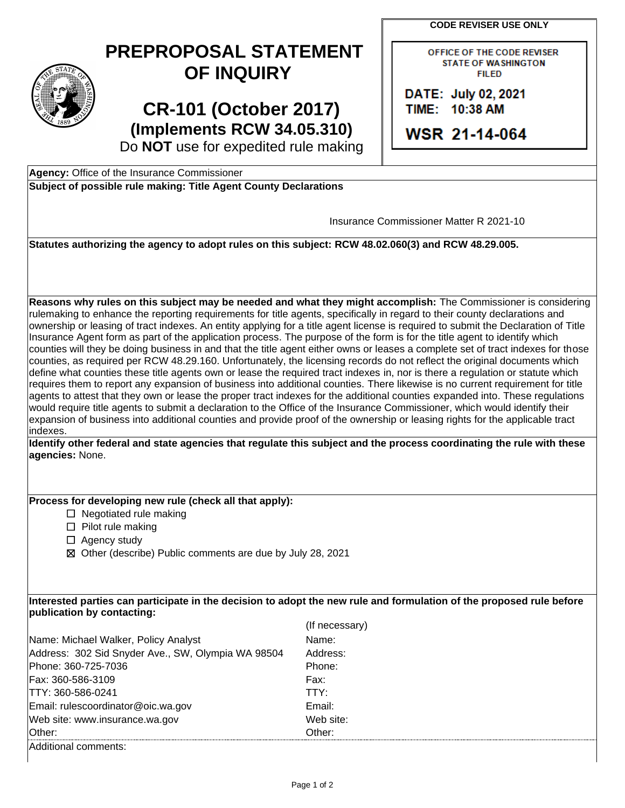**CODE REVISER USE ONLY** 

## **PREPROPOSAL STATEMENT OF INQUIRY**

 Do **NOT** use for expedited rule making **CR-101 (October 2017) (Implements RCW 34.05.310)** 

OFFICE OF THE CODE REVISER **STATE OF WASHINGTON FILED** 

**DATE: July 02, 2021** TIIME: 110:38 **AM** 

**WSR 2 1-114-064** 

**Agency:** Office of the Insurance Commissioner

**Subject of possible rule making: Title Agent County Declarations** 

Insurance Commissioner Matter R 2021-10

**Statutes authorizing the agency to adopt rules on this subject: RCW 48.02.060(3) and RCW 48.29.005.** 

 define what counties these title agents own or lease the required tract indexes in, nor is there a regulation or statute which expansion of business into additional counties and provide proof of the ownership or leasing rights for the applicable tract **Reasons why rules on this subject may be needed and what they might accomplish:** The Commissioner is considering rulemaking to enhance the reporting requirements for title agents, specifically in regard to their county declarations and ownership or leasing of tract indexes. An entity applying for a title agent license is required to submit the Declaration of Title Insurance Agent form as part of the application process. The purpose of the form is for the title agent to identify which counties will they be doing business in and that the title agent either owns or leases a complete set of tract indexes for those counties, as required per RCW 48.29.160. Unfortunately, the licensing records do not reflect the original documents which requires them to report any expansion of business into additional counties. There likewise is no current requirement for title agents to attest that they own or lease the proper tract indexes for the additional counties expanded into. These regulations would require title agents to submit a declaration to the Office of the Insurance Commissioner, which would identify their indexes.

**Identify other federal and state agencies that regulate this subject and the process coordinating the rule with these agencies:** None.

## **Process for developing new rule (check all that apply):**

 $\Box$  Negotiated rule making

☐ Pilot rule making

- □ Agency study
- ☒ Other (describe) Public comments are due by July 28, 2021

**Interested parties can participate in the decision to adopt the new rule and formulation of the proposed rule before publication by contacting:** 

|                                                    | (If necessary) |
|----------------------------------------------------|----------------|
| Name: Michael Walker, Policy Analyst               | Name:          |
| Address: 302 Sid Snyder Ave., SW, Olympia WA 98504 | Address:       |
| Phone: 360-725-7036                                | Phone:         |
| Fax: 360-586-3109                                  | Fax:           |
| ITTY: 360-586-0241                                 | TTY:           |
| Email: rulescoordinator@oic.wa.gov                 | Email:         |
| Web site: www.insurance.wa.gov                     | Web site:      |
| <b>Other:</b>                                      | Other:         |
| Additional comments:                               |                |